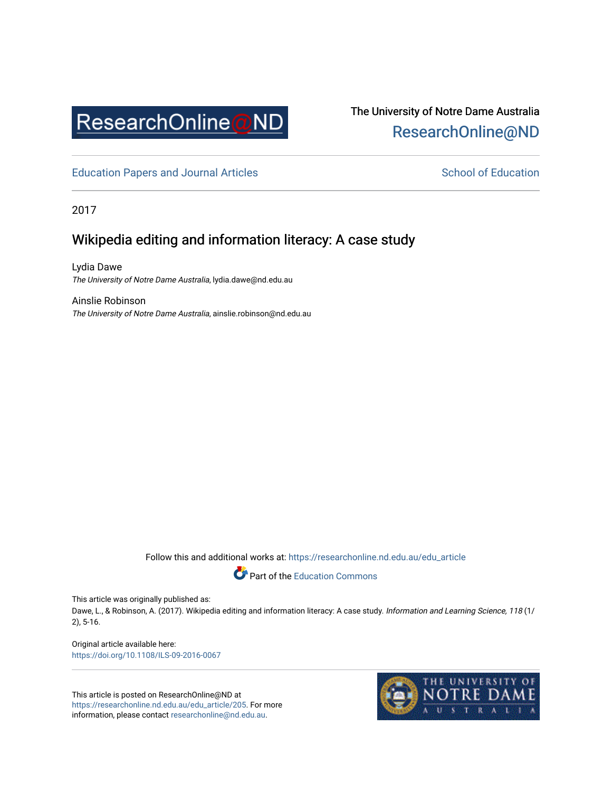

# The University of Notre Dame Australia [ResearchOnline@ND](https://researchonline.nd.edu.au/)

[Education Papers and Journal Articles](https://researchonline.nd.edu.au/edu_article) [School of Education](https://researchonline.nd.edu.au/edu) School of Education

2017

## Wikipedia editing and information literacy: A case study

Lydia Dawe The University of Notre Dame Australia, lydia.dawe@nd.edu.au

Ainslie Robinson The University of Notre Dame Australia, ainslie.robinson@nd.edu.au

Follow this and additional works at: [https://researchonline.nd.edu.au/edu\\_article](https://researchonline.nd.edu.au/edu_article?utm_source=researchonline.nd.edu.au%2Fedu_article%2F205&utm_medium=PDF&utm_campaign=PDFCoverPages)



This article was originally published as:

Dawe, L., & Robinson, A. (2017). Wikipedia editing and information literacy: A case study. Information and Learning Science, 118 (1/ 2), 5-16.

Original article available here: <https://doi.org/10.1108/ILS-09-2016-0067>

This article is posted on ResearchOnline@ND at [https://researchonline.nd.edu.au/edu\\_article/205](https://researchonline.nd.edu.au/edu_article/205). For more information, please contact [researchonline@nd.edu.au.](mailto:researchonline@nd.edu.au)

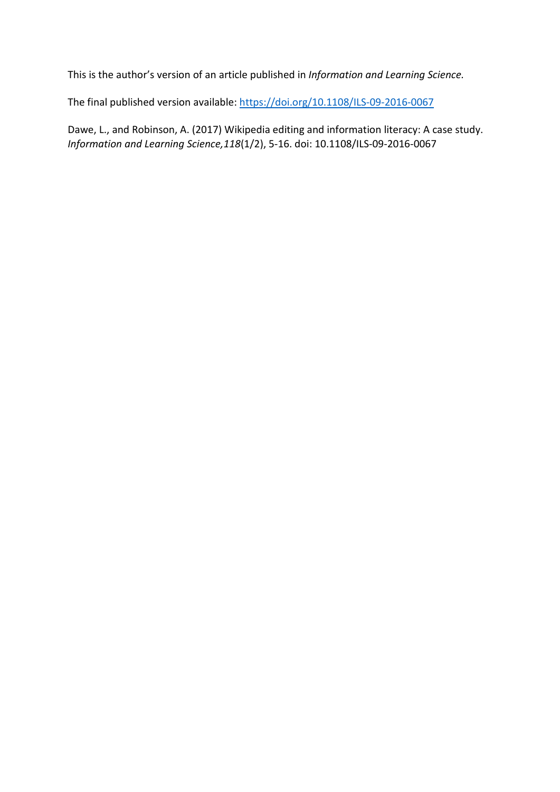This is the author's version of an article published in *Information and Learning Science.*

The final published version available[: https://doi.org/10.1108/ILS-09-2016-0067](https://doi.org/10.1108/ILS-09-2016-0067)

Dawe, L., and Robinson, A. (2017) Wikipedia editing and information literacy: A case study. *Information and Learning Science,118*(1/2), 5-16. doi: 10.1108/ILS-09-2016-0067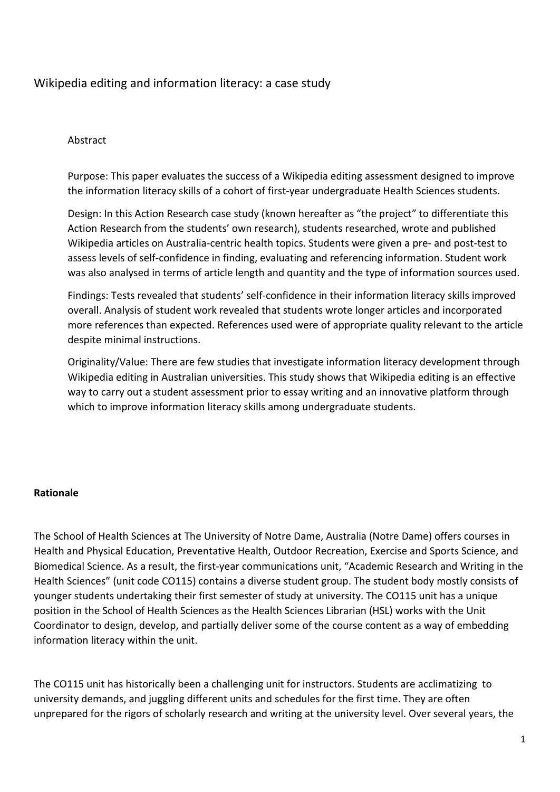## Wikipedia editing and information literacy: a case study

#### Abstract

Purpose: This paper evaluates the success of a Wikipedia editing assessment designed to improve the information literacy skills of a cohort of first-year undergraduate Health Sciences students.

Design: In this Action Research case study (known hereafter as "the project" to differentiate this Action Research from the students' own research), students researched, wrote and published Wikipedia articles on Australia-centric health topics. Students were given a pre- and post-test to assess levels of self-confidence in finding, evaluating and referencing information. Student work was also analysed in terms of article length and quantity and the type of information sources used.

Findings: Tests revealed that students' self-confidence in their information literacy skills improved overall. Analysis of student work revealed that students wrote longer articles and incorporated more references than expected. References used were of appropriate quality relevant to the article despite minimal instructions.

Originality/Value: There are few studies that investigate information literacy development through Wikipedia editing in Australian universities. This study shows that Wikipedia editing is an effective way to carry out a student assessment prior to essay writing and an innovative platform through which to improve information literacy skills among undergraduate students.

#### **Rationale**

The School of Health Sciences at The University of Notre Dame, Australia (Notre Dame) offers courses in Health and Physical Education, Preventative Health, Outdoor Recreation, Exercise and Sports Science, and Biomedical Science. As a result, the first-year communications unit, "Academic Research and Writing in the Health Sciences" (unit code CO115) contains a diverse student group. The student body mostly consists of younger students undertaking their first semester of study at university. The CO115 unit has a unique position in the School of Health Sciences as the Health Sciences Librarian (HSL) works with the Unit Coordinator to design, develop, and partially deliver some of the course content as a way of embedding information literacy within the unit.

The CO115 unit has historically been a challenging unit for instructors. Students are acclimatizing to university demands, and juggling different units and schedules for the first time. They are often unprepared for the rigors of scholarly research and writing at the university level. Over several years, the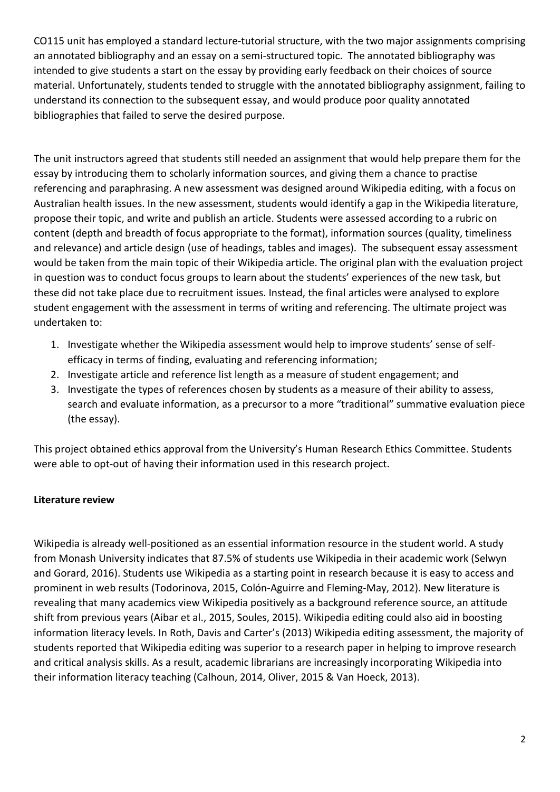CO115 unit has employed a standard lecture-tutorial structure, with the two major assignments comprising an annotated bibliography and an essay on a semi-structured topic. The annotated bibliography was intended to give students a start on the essay by providing early feedback on their choices of source material. Unfortunately, students tended to struggle with the annotated bibliography assignment, failing to understand its connection to the subsequent essay, and would produce poor quality annotated bibliographies that failed to serve the desired purpose.

The unit instructors agreed that students still needed an assignment that would help prepare them for the essay by introducing them to scholarly information sources, and giving them a chance to practise referencing and paraphrasing. A new assessment was designed around Wikipedia editing, with a focus on Australian health issues. In the new assessment, students would identify a gap in the Wikipedia literature, propose their topic, and write and publish an article. Students were assessed according to a rubric on content (depth and breadth of focus appropriate to the format), information sources (quality, timeliness and relevance) and article design (use of headings, tables and images). The subsequent essay assessment would be taken from the main topic of their Wikipedia article. The original plan with the evaluation project in question was to conduct focus groups to learn about the students' experiences of the new task, but these did not take place due to recruitment issues. Instead, the final articles were analysed to explore student engagement with the assessment in terms of writing and referencing. The ultimate project was undertaken to:

- 1. Investigate whether the Wikipedia assessment would help to improve students' sense of selfefficacy in terms of finding, evaluating and referencing information;
- 2. Investigate article and reference list length as a measure of student engagement; and
- 3. Investigate the types of references chosen by students as a measure of their ability to assess, search and evaluate information, as a precursor to a more "traditional" summative evaluation piece (the essay).

This project obtained ethics approval from the University's Human Research Ethics Committee. Students were able to opt-out of having their information used in this research project.

## **Literature review**

Wikipedia is already well-positioned as an essential information resource in the student world. A study from Monash University indicates that 87.5% of students use Wikipedia in their academic work (Selwyn and Gorard, 2016). Students use Wikipedia as a starting point in research because it is easy to access and prominent in web results (Todorinova, 2015, Colón-Aguirre and Fleming-May, 2012). New literature is revealing that many academics view Wikipedia positively as a background reference source, an attitude shift from previous years (Aibar et al., 2015, Soules, 2015). Wikipedia editing could also aid in boosting information literacy levels. In Roth, Davis and Carter's (2013) Wikipedia editing assessment, the majority of students reported that Wikipedia editing was superior to a research paper in helping to improve research and critical analysis skills. As a result, academic librarians are increasingly incorporating Wikipedia into their information literacy teaching (Calhoun, 2014, Oliver, 2015 & Van Hoeck, 2013).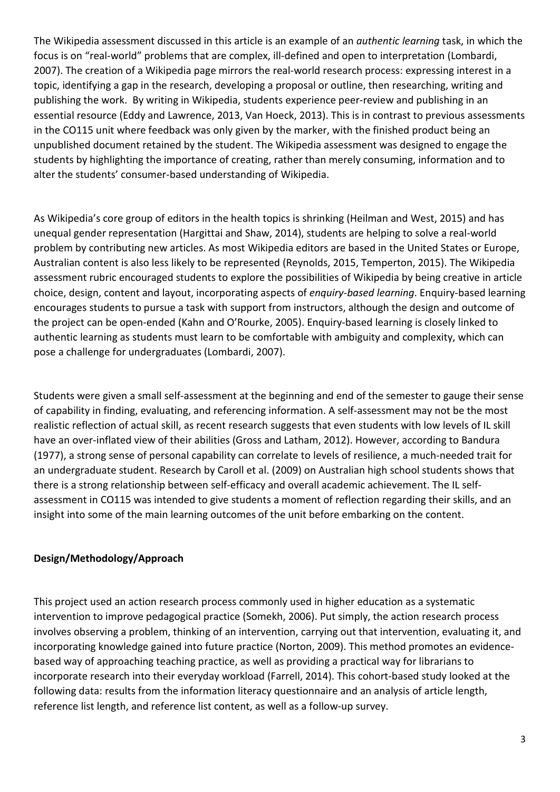The Wikipedia assessment discussed in this article is an example of an *authentic learning* task, in which the focus is on "real-world" problems that are complex, ill-defined and open to interpretation (Lombardi, 2007). The creation of a Wikipedia page mirrors the real-world research process: expressing interest in a topic, identifying a gap in the research, developing a proposal or outline, then researching, writing and publishing the work. By writing in Wikipedia, students experience peer-review and publishing in an essential resource (Eddy and Lawrence, 2013, Van Hoeck, 2013). This is in contrast to previous assessments in the CO115 unit where feedback was only given by the marker, with the finished product being an unpublished document retained by the student. The Wikipedia assessment was designed to engage the students by highlighting the importance of creating, rather than merely consuming, information and to alter the students' consumer-based understanding of Wikipedia.

As Wikipedia's core group of editors in the health topics is shrinking (Heilman and West, 2015) and has unequal gender representation (Hargittai and Shaw, 2014), students are helping to solve a real-world problem by contributing new articles. As most Wikipedia editors are based in the United States or Europe, Australian content is also less likely to be represented (Reynolds, 2015, Temperton, 2015). The Wikipedia assessment rubric encouraged students to explore the possibilities of Wikipedia by being creative in article choice, design, content and layout, incorporating aspects of *enquiry-based learning*. Enquiry-based learning encourages students to pursue a task with support from instructors, although the design and outcome of the project can be open-ended (Kahn and O'Rourke, 2005). Enquiry-based learning is closely linked to authentic learning as students must learn to be comfortable with ambiguity and complexity, which can pose a challenge for undergraduates (Lombardi, 2007).

Students were given a small self-assessment at the beginning and end of the semester to gauge their sense of capability in finding, evaluating, and referencing information. A self-assessment may not be the most realistic reflection of actual skill, as recent research suggests that even students with low levels of IL skill have an over-inflated view of their abilities (Gross and Latham, 2012). However, according to Bandura (1977), a strong sense of personal capability can correlate to levels of resilience, a much-needed trait for an undergraduate student. Research by Caroll et al. (2009) on Australian high school students shows that there is a strong relationship between self-efficacy and overall academic achievement. The IL selfassessment in CO115 was intended to give students a moment of reflection regarding their skills, and an insight into some of the main learning outcomes of the unit before embarking on the content.

## **Design/Methodology/Approach**

This project used an action research process commonly used in higher education as a systematic intervention to improve pedagogical practice (Somekh, 2006). Put simply, the action research process involves observing a problem, thinking of an intervention, carrying out that intervention, evaluating it, and incorporating knowledge gained into future practice (Norton, 2009). This method promotes an evidencebased way of approaching teaching practice, as well as providing a practical way for librarians to incorporate research into their everyday workload (Farrell, 2014). This cohort-based study looked at the following data: results from the information literacy questionnaire and an analysis of article length, reference list length, and reference list content, as well as a follow-up survey.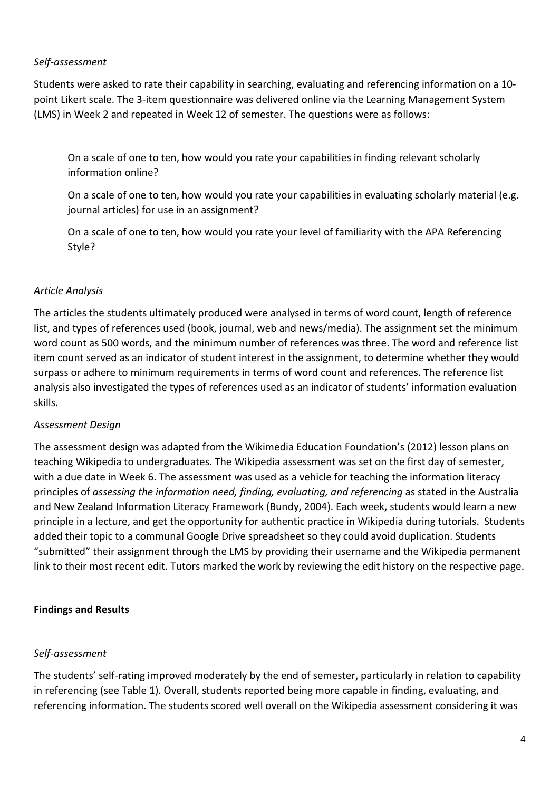## *Self-assessment*

Students were asked to rate their capability in searching, evaluating and referencing information on a 10 point Likert scale. The 3-item questionnaire was delivered online via the Learning Management System (LMS) in Week 2 and repeated in Week 12 of semester. The questions were as follows:

On a scale of one to ten, how would you rate your capabilities in finding relevant scholarly information online?

On a scale of one to ten, how would you rate your capabilities in evaluating scholarly material (e.g. journal articles) for use in an assignment?

On a scale of one to ten, how would you rate your level of familiarity with the APA Referencing Style?

#### *Article Analysis*

The articles the students ultimately produced were analysed in terms of word count, length of reference list, and types of references used (book, journal, web and news/media). The assignment set the minimum word count as 500 words, and the minimum number of references was three. The word and reference list item count served as an indicator of student interest in the assignment, to determine whether they would surpass or adhere to minimum requirements in terms of word count and references. The reference list analysis also investigated the types of references used as an indicator of students' information evaluation skills.

#### *Assessment Design*

The assessment design was adapted from the Wikimedia Education Foundation's (2012) lesson plans on teaching Wikipedia to undergraduates. The Wikipedia assessment was set on the first day of semester, with a due date in Week 6. The assessment was used as a vehicle for teaching the information literacy principles of *assessing the information need, finding, evaluating, and referencing* as stated in the Australia and New Zealand Information Literacy Framework (Bundy, 2004). Each week, students would learn a new principle in a lecture, and get the opportunity for authentic practice in Wikipedia during tutorials. Students added their topic to a communal Google Drive spreadsheet so they could avoid duplication. Students "submitted" their assignment through the LMS by providing their username and the Wikipedia permanent link to their most recent edit. Tutors marked the work by reviewing the edit history on the respective page.

#### **Findings and Results**

#### *Self-assessment*

The students' self-rating improved moderately by the end of semester, particularly in relation to capability in referencing (see Table 1). Overall, students reported being more capable in finding, evaluating, and referencing information. The students scored well overall on the Wikipedia assessment considering it was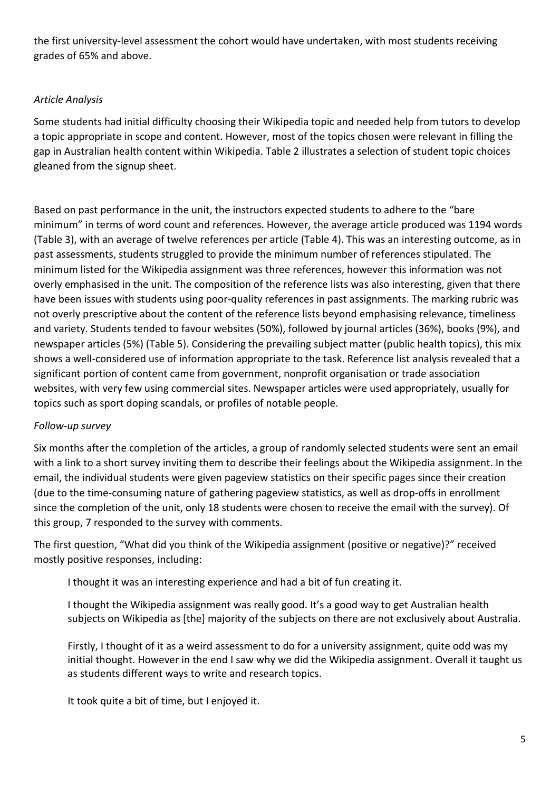the first university-level assessment the cohort would have undertaken, with most students receiving grades of 65% and above.

### *Article Analysis*

Some students had initial difficulty choosing their Wikipedia topic and needed help from tutors to develop a topic appropriate in scope and content. However, most of the topics chosen were relevant in filling the gap in Australian health content within Wikipedia. Table 2 illustrates a selection of student topic choices gleaned from the signup sheet.

Based on past performance in the unit, the instructors expected students to adhere to the "bare minimum" in terms of word count and references. However, the average article produced was 1194 words (Table 3), with an average of twelve references per article (Table 4). This was an interesting outcome, as in past assessments, students struggled to provide the minimum number of references stipulated. The minimum listed for the Wikipedia assignment was three references, however this information was not overly emphasised in the unit. The composition of the reference lists was also interesting, given that there have been issues with students using poor-quality references in past assignments. The marking rubric was not overly prescriptive about the content of the reference lists beyond emphasising relevance, timeliness and variety. Students tended to favour websites (50%), followed by journal articles (36%), books (9%), and newspaper articles (5%) (Table 5). Considering the prevailing subject matter (public health topics), this mix shows a well-considered use of information appropriate to the task. Reference list analysis revealed that a significant portion of content came from government, nonprofit organisation or trade association websites, with very few using commercial sites. Newspaper articles were used appropriately, usually for topics such as sport doping scandals, or profiles of notable people.

## *Follow-up survey*

Six months after the completion of the articles, a group of randomly selected students were sent an email with a link to a short survey inviting them to describe their feelings about the Wikipedia assignment. In the email, the individual students were given pageview statistics on their specific pages since their creation (due to the time-consuming nature of gathering pageview statistics, as well as drop-offs in enrollment since the completion of the unit, only 18 students were chosen to receive the email with the survey). Of this group, 7 responded to the survey with comments.

The first question, "What did you think of the Wikipedia assignment (positive or negative)?" received mostly positive responses, including:

I thought it was an interesting experience and had a bit of fun creating it.

I thought the Wikipedia assignment was really good. It's a good way to get Australian health subjects on Wikipedia as [the] majority of the subjects on there are not exclusively about Australia.

Firstly, I thought of it as a weird assessment to do for a university assignment, quite odd was my initial thought. However in the end I saw why we did the Wikipedia assignment. Overall it taught us as students different ways to write and research topics.

It took quite a bit of time, but I enjoyed it.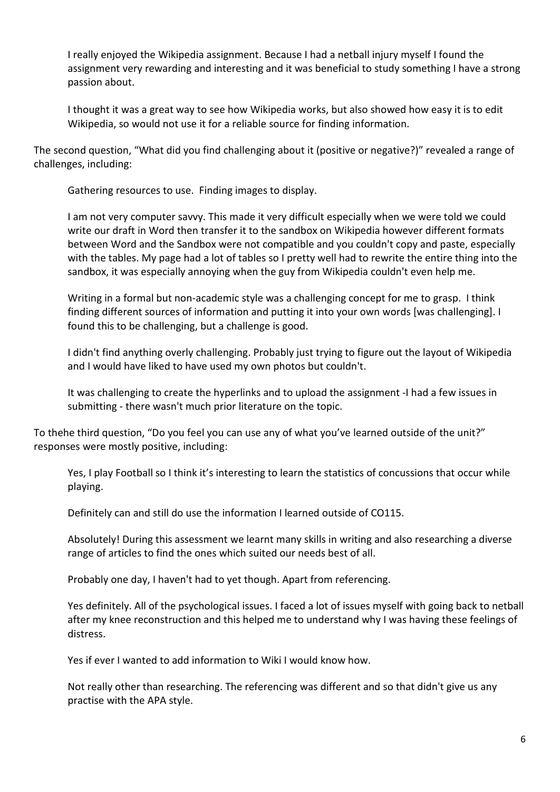I really enjoyed the Wikipedia assignment. Because I had a netball injury myself I found the assignment very rewarding and interesting and it was beneficial to study something I have a strong passion about.

I thought it was a great way to see how Wikipedia works, but also showed how easy it is to edit Wikipedia, so would not use it for a reliable source for finding information.

The second question, "What did you find challenging about it (positive or negative?)" revealed a range of challenges, including:

Gathering resources to use. Finding images to display.

I am not very computer savvy. This made it very difficult especially when we were told we could write our draft in Word then transfer it to the sandbox on Wikipedia however different formats between Word and the Sandbox were not compatible and you couldn't copy and paste, especially with the tables. My page had a lot of tables so I pretty well had to rewrite the entire thing into the sandbox, it was especially annoying when the guy from Wikipedia couldn't even help me.

Writing in a formal but non-academic style was a challenging concept for me to grasp. I think finding different sources of information and putting it into your own words [was challenging]. I found this to be challenging, but a challenge is good.

I didn't find anything overly challenging. Probably just trying to figure out the layout of Wikipedia and I would have liked to have used my own photos but couldn't.

It was challenging to create the hyperlinks and to upload the assignment -I had a few issues in submitting - there wasn't much prior literature on the topic.

To thehe third question, "Do you feel you can use any of what you've learned outside of the unit?" responses were mostly positive, including:

Yes, I play Football so I think it's interesting to learn the statistics of concussions that occur while playing.

Definitely can and still do use the information I learned outside of CO115.

Absolutely! During this assessment we learnt many skills in writing and also researching a diverse range of articles to find the ones which suited our needs best of all.

Probably one day, I haven't had to yet though. Apart from referencing.

Yes definitely. All of the psychological issues. I faced a lot of issues myself with going back to netball after my knee reconstruction and this helped me to understand why I was having these feelings of distress.

Yes if ever I wanted to add information to Wiki I would know how.

Not really other than researching. The referencing was different and so that didn't give us any practise with the APA style.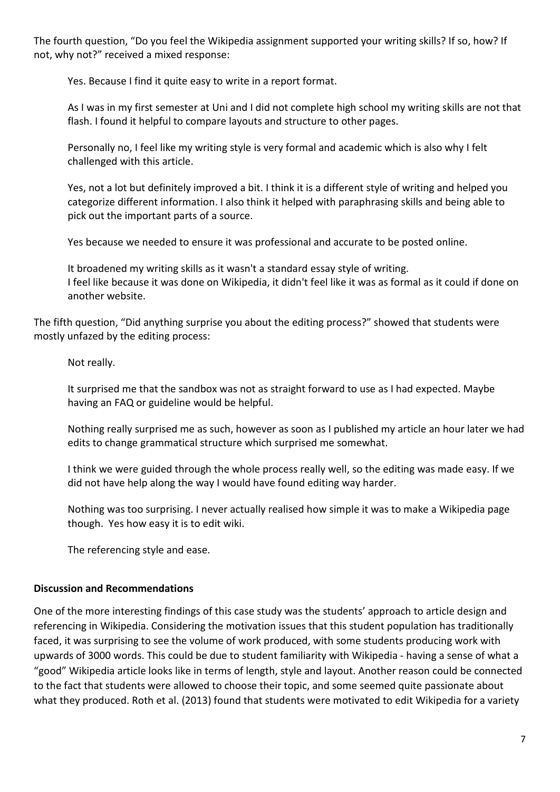The fourth question, "Do you feel the Wikipedia assignment supported your writing skills? If so, how? If not, why not?" received a mixed response:

Yes. Because I find it quite easy to write in a report format.

As I was in my first semester at Uni and I did not complete high school my writing skills are not that flash. I found it helpful to compare layouts and structure to other pages.

Personally no, I feel like my writing style is very formal and academic which is also why I felt challenged with this article.

Yes, not a lot but definitely improved a bit. I think it is a different style of writing and helped you categorize different information. I also think it helped with paraphrasing skills and being able to pick out the important parts of a source.

Yes because we needed to ensure it was professional and accurate to be posted online.

It broadened my writing skills as it wasn't a standard essay style of writing. I feel like because it was done on Wikipedia, it didn't feel like it was as formal as it could if done on another website.

The fifth question, "Did anything surprise you about the editing process?" showed that students were mostly unfazed by the editing process:

Not really.

It surprised me that the sandbox was not as straight forward to use as I had expected. Maybe having an FAQ or guideline would be helpful.

Nothing really surprised me as such, however as soon as I published my article an hour later we had edits to change grammatical structure which surprised me somewhat.

I think we were guided through the whole process really well, so the editing was made easy. If we did not have help along the way I would have found editing way harder.

Nothing was too surprising. I never actually realised how simple it was to make a Wikipedia page though. Yes how easy it is to edit wiki.

The referencing style and ease.

#### **Discussion and Recommendations**

One of the more interesting findings of this case study was the students' approach to article design and referencing in Wikipedia. Considering the motivation issues that this student population has traditionally faced, it was surprising to see the volume of work produced, with some students producing work with upwards of 3000 words. This could be due to student familiarity with Wikipedia - having a sense of what a "good" Wikipedia article looks like in terms of length, style and layout. Another reason could be connected to the fact that students were allowed to choose their topic, and some seemed quite passionate about what they produced. Roth et al. (2013) found that students were motivated to edit Wikipedia for a variety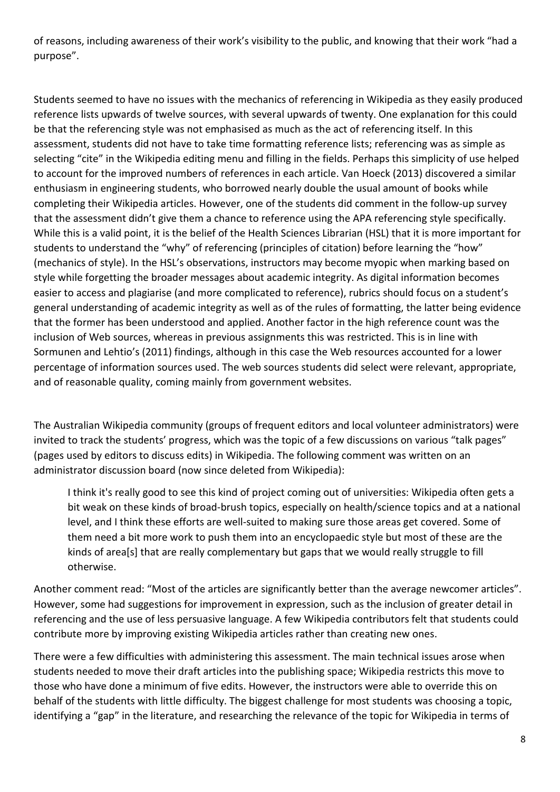of reasons, including awareness of their work's visibility to the public, and knowing that their work "had a purpose".

Students seemed to have no issues with the mechanics of referencing in Wikipedia as they easily produced reference lists upwards of twelve sources, with several upwards of twenty. One explanation for this could be that the referencing style was not emphasised as much as the act of referencing itself. In this assessment, students did not have to take time formatting reference lists; referencing was as simple as selecting "cite" in the Wikipedia editing menu and filling in the fields. Perhaps this simplicity of use helped to account for the improved numbers of references in each article. Van Hoeck (2013) discovered a similar enthusiasm in engineering students, who borrowed nearly double the usual amount of books while completing their Wikipedia articles. However, one of the students did comment in the follow-up survey that the assessment didn't give them a chance to reference using the APA referencing style specifically. While this is a valid point, it is the belief of the Health Sciences Librarian (HSL) that it is more important for students to understand the "why" of referencing (principles of citation) before learning the "how" (mechanics of style). In the HSL's observations, instructors may become myopic when marking based on style while forgetting the broader messages about academic integrity. As digital information becomes easier to access and plagiarise (and more complicated to reference), rubrics should focus on a student's general understanding of academic integrity as well as of the rules of formatting, the latter being evidence that the former has been understood and applied. Another factor in the high reference count was the inclusion of Web sources, whereas in previous assignments this was restricted. This is in line with Sormunen and Lehtio's (2011) findings, although in this case the Web resources accounted for a lower percentage of information sources used. The web sources students did select were relevant, appropriate, and of reasonable quality, coming mainly from government websites.

The Australian Wikipedia community (groups of frequent editors and local volunteer administrators) were invited to track the students' progress, which was the topic of a few discussions on various "talk pages" (pages used by editors to discuss edits) in Wikipedia. The following comment was written on an administrator discussion board (now since deleted from Wikipedia):

I think it's really good to see this kind of project coming out of universities: Wikipedia often gets a bit weak on these kinds of broad-brush topics, especially on health/science topics and at a national level, and I think these efforts are well-suited to making sure those areas get covered. Some of them need a bit more work to push them into an encyclopaedic style but most of these are the kinds of area[s] that are really complementary but gaps that we would really struggle to fill otherwise.

Another comment read: "Most of the articles are significantly better than the average newcomer articles". However, some had suggestions for improvement in expression, such as the inclusion of greater detail in referencing and the use of less persuasive language. A few Wikipedia contributors felt that students could contribute more by improving existing Wikipedia articles rather than creating new ones.

There were a few difficulties with administering this assessment. The main technical issues arose when students needed to move their draft articles into the publishing space; Wikipedia restricts this move to those who have done a minimum of five edits. However, the instructors were able to override this on behalf of the students with little difficulty. The biggest challenge for most students was choosing a topic, identifying a "gap" in the literature, and researching the relevance of the topic for Wikipedia in terms of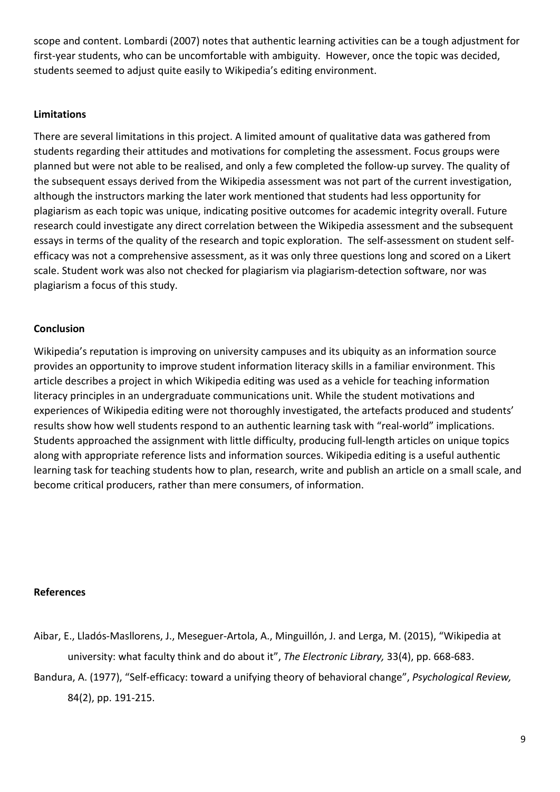scope and content. Lombardi (2007) notes that authentic learning activities can be a tough adjustment for first-year students, who can be uncomfortable with ambiguity. However, once the topic was decided, students seemed to adjust quite easily to Wikipedia's editing environment.

#### **Limitations**

There are several limitations in this project. A limited amount of qualitative data was gathered from students regarding their attitudes and motivations for completing the assessment. Focus groups were planned but were not able to be realised, and only a few completed the follow-up survey. The quality of the subsequent essays derived from the Wikipedia assessment was not part of the current investigation, although the instructors marking the later work mentioned that students had less opportunity for plagiarism as each topic was unique, indicating positive outcomes for academic integrity overall. Future research could investigate any direct correlation between the Wikipedia assessment and the subsequent essays in terms of the quality of the research and topic exploration. The self-assessment on student selfefficacy was not a comprehensive assessment, as it was only three questions long and scored on a Likert scale. Student work was also not checked for plagiarism via plagiarism-detection software, nor was plagiarism a focus of this study.

#### **Conclusion**

Wikipedia's reputation is improving on university campuses and its ubiquity as an information source provides an opportunity to improve student information literacy skills in a familiar environment. This article describes a project in which Wikipedia editing was used as a vehicle for teaching information literacy principles in an undergraduate communications unit. While the student motivations and experiences of Wikipedia editing were not thoroughly investigated, the artefacts produced and students' results show how well students respond to an authentic learning task with "real-world" implications. Students approached the assignment with little difficulty, producing full-length articles on unique topics along with appropriate reference lists and information sources. Wikipedia editing is a useful authentic learning task for teaching students how to plan, research, write and publish an article on a small scale, and become critical producers, rather than mere consumers, of information.

#### **References**

- Aibar, E., Lladós-Masllorens, J., Meseguer-Artola, A., Minguillón, J. and Lerga, M. (2015), "Wikipedia at university: what faculty think and do about it", *The Electronic Library,* 33(4), pp. 668-683.
- Bandura, A. (1977), "Self-efficacy: toward a unifying theory of behavioral change", *Psychological Review,* 84(2), pp. 191-215.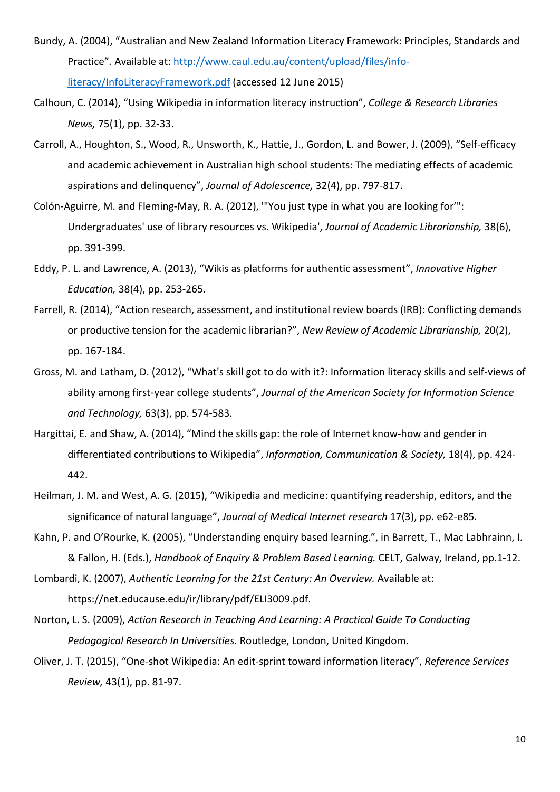- Bundy, A. (2004), "Australian and New Zealand Information Literacy Framework: Principles, Standards and Practice"*.* Available at[: http://www.caul.edu.au/content/upload/files/info](http://www.caul.edu.au/content/upload/files/info-literacy/InfoLiteracyFramework.pdf)[literacy/InfoLiteracyFramework.pdf](http://www.caul.edu.au/content/upload/files/info-literacy/InfoLiteracyFramework.pdf) (accessed 12 June 2015)
- Calhoun, C. (2014), "Using Wikipedia in information literacy instruction", *College & Research Libraries News,* 75(1), pp. 32-33.
- Carroll, A., Houghton, S., Wood, R., Unsworth, K., Hattie, J., Gordon, L. and Bower, J. (2009), "Self-efficacy and academic achievement in Australian high school students: The mediating effects of academic aspirations and delinquency", *Journal of Adolescence,* 32(4), pp. 797-817.
- Colón-Aguirre, M. and Fleming-May, R. A. (2012), '"You just type in what you are looking for'": Undergraduates' use of library resources vs. Wikipedia', *Journal of Academic Librarianship,* 38(6), pp. 391-399.
- Eddy, P. L. and Lawrence, A. (2013), "Wikis as platforms for authentic assessment", *Innovative Higher Education,* 38(4), pp. 253-265.
- Farrell, R. (2014), "Action research, assessment, and institutional review boards (IRB): Conflicting demands or productive tension for the academic librarian?", *New Review of Academic Librarianship,* 20(2), pp. 167-184.
- Gross, M. and Latham, D. (2012), "What's skill got to do with it?: Information literacy skills and self‐views of ability among first‐year college students", *Journal of the American Society for Information Science and Technology,* 63(3), pp. 574-583.
- Hargittai, E. and Shaw, A. (2014), "Mind the skills gap: the role of Internet know-how and gender in differentiated contributions to Wikipedia", *Information, Communication & Society,* 18(4), pp. 424- 442.
- Heilman, J. M. and West, A. G. (2015), "Wikipedia and medicine: quantifying readership, editors, and the significance of natural language", *Journal of Medical Internet research* 17(3), pp. e62-e85.
- Kahn, P. and O'Rourke, K. (2005), "Understanding enquiry based learning.", in Barrett, T., Mac Labhrainn, I. & Fallon, H. (Eds.), *Handbook of Enquiry & Problem Based Learning.* CELT, Galway, Ireland, pp.1-12.

Lombardi, K. (2007), *Authentic Learning for the 21st Century: An Overview.* Available at: https://net.educause.edu/ir/library/pdf/ELI3009.pdf.

- Norton, L. S. (2009), *Action Research in Teaching And Learning: A Practical Guide To Conducting Pedagogical Research In Universities.* Routledge, London, United Kingdom.
- Oliver, J. T. (2015), "One-shot Wikipedia: An edit-sprint toward information literacy", *Reference Services Review,* 43(1), pp. 81-97.